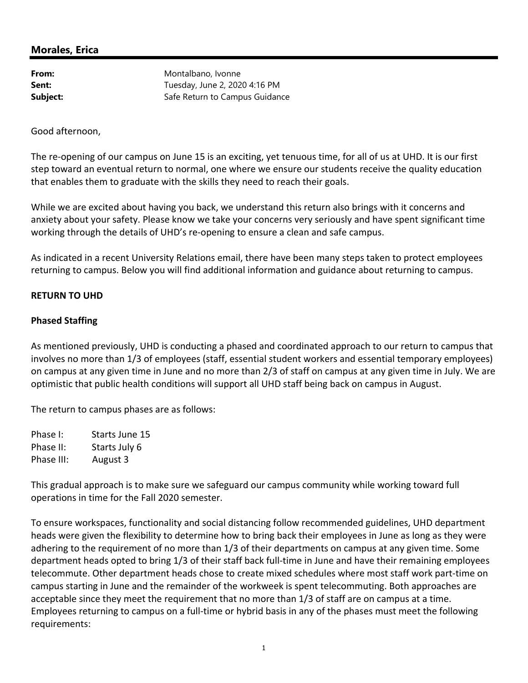# **Morales, Erica**

From: Montalbano, Ivonne **Sent:** Tuesday, June 2, 2020 4:16 PM **Subject:** Safe Return to Campus Guidance

Good afternoon,

The re-opening of our campus on June 15 is an exciting, yet tenuous time, for all of us at UHD. It is our first step toward an eventual return to normal, one where we ensure our students receive the quality education that enables them to graduate with the skills they need to reach their goals.

While we are excited about having you back, we understand this return also brings with it concerns and anxiety about your safety. Please know we take your concerns very seriously and have spent significant time working through the details of UHD's re-opening to ensure a clean and safe campus.

As indicated in a recent University Relations email, there have been many steps taken to protect employees returning to campus. Below you will find additional information and guidance about returning to campus.

## **RETURN TO UHD**

## **Phased Staffing**

As mentioned previously, UHD is conducting a phased and coordinated approach to our return to campus that involves no more than 1/3 of employees (staff, essential student workers and essential temporary employees) on campus at any given time in June and no more than 2/3 of staff on campus at any given time in July. We are optimistic that public health conditions will support all UHD staff being back on campus in August.

The return to campus phases are as follows:

Phase I: Starts June 15 Phase II: Starts July 6 Phase III: August 3

This gradual approach is to make sure we safeguard our campus community while working toward full operations in time for the Fall 2020 semester.

To ensure workspaces, functionality and social distancing follow recommended guidelines, UHD department heads were given the flexibility to determine how to bring back their employees in June as long as they were adhering to the requirement of no more than 1/3 of their departments on campus at any given time. Some department heads opted to bring 1/3 of their staff back full-time in June and have their remaining employees telecommute. Other department heads chose to create mixed schedules where most staff work part-time on campus starting in June and the remainder of the workweek is spent telecommuting. Both approaches are acceptable since they meet the requirement that no more than 1/3 of staff are on campus at a time. Employees returning to campus on a full-time or hybrid basis in any of the phases must meet the following requirements: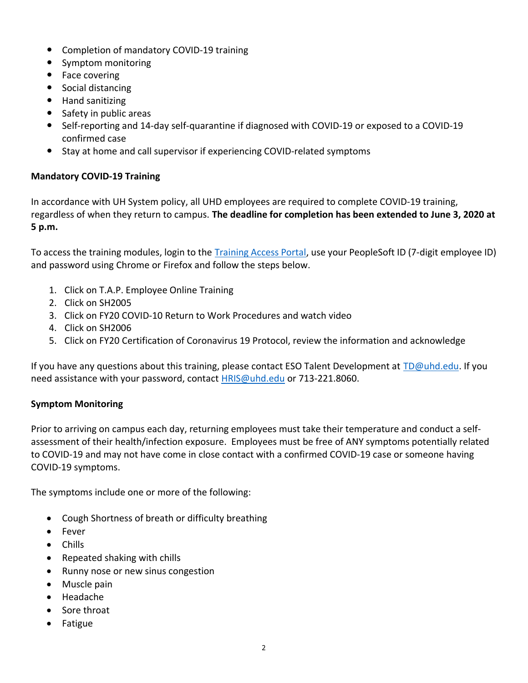- Completion of mandatory COVID-19 training
- Symptom monitoring
- $\bullet$  Face covering
- Social distancing
- Hand sanitizing
- Safety in public areas
- Self-reporting and 14-day self-quarantine if diagnosed with COVID-19 or exposed to a COVID-19 confirmed case
- Stay at home and call supervisor if experiencing COVID-related symptoms

# **Mandatory COVID-19 Training**

In accordance with UH System policy, all UHD employees are required to complete COVID-19 training, regardless of when they return to campus. **The deadline for completion has been extended to June 3, 2020 at 5 p.m.** 

To access the training modules, login to the Training Access Portal, use your PeopleSoft ID (7-digit employee ID) and password using Chrome or Firefox and follow the steps below.

- 1. Click on T.A.P. Employee Online Training
- 2. Click on SH2005
- 3. Click on FY20 COVID-10 Return to Work Procedures and watch video
- 4. Click on SH2006
- 5. Click on FY20 Certification of Coronavirus 19 Protocol, review the information and acknowledge

If you have any questions about this training, please contact ESO Talent Development at TD@uhd.edu. If you need assistance with your password, contact **HRIS@uhd.edu** or 713-221.8060.

# **Symptom Monitoring**

Prior to arriving on campus each day, returning employees must take their temperature and conduct a selfassessment of their health/infection exposure. Employees must be free of ANY symptoms potentially related to COVID-19 and may not have come in close contact with a confirmed COVID-19 case or someone having COVID-19 symptoms.

The symptoms include one or more of the following:

- Cough Shortness of breath or difficulty breathing
- $\bullet$  Fever
- $\bullet$  Chills
- $\bullet$  Repeated shaking with chills
- Runny nose or new sinus congestion
- $\bullet$  Muscle pain
- Headache
- Sore throat
- **Fatigue**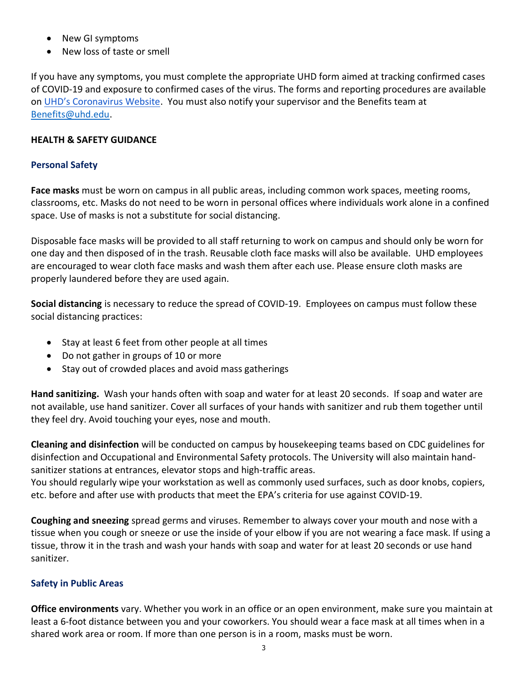- New GI symptoms
- New loss of taste or smell

If you have any symptoms, you must complete the appropriate UHD form aimed at tracking confirmed cases of COVID-19 and exposure to confirmed cases of the virus. The forms and reporting procedures are available on UHD's Coronavirus Website. You must also notify your supervisor and the Benefits team at Benefits@uhd.edu.

## **HEALTH & SAFETY GUIDANCE**

#### **Personal Safety**

**Face masks** must be worn on campus in all public areas, including common work spaces, meeting rooms, classrooms, etc. Masks do not need to be worn in personal offices where individuals work alone in a confined space. Use of masks is not a substitute for social distancing.

Disposable face masks will be provided to all staff returning to work on campus and should only be worn for one day and then disposed of in the trash. Reusable cloth face masks will also be available. UHD employees are encouraged to wear cloth face masks and wash them after each use. Please ensure cloth masks are properly laundered before they are used again.

**Social distancing** is necessary to reduce the spread of COVID-19. Employees on campus must follow these social distancing practices:

- Stay at least 6 feet from other people at all times
- Do not gather in groups of 10 or more
- Stay out of crowded places and avoid mass gatherings

**Hand sanitizing.** Wash your hands often with soap and water for at least 20 seconds. If soap and water are not available, use hand sanitizer. Cover all surfaces of your hands with sanitizer and rub them together until they feel dry. Avoid touching your eyes, nose and mouth.

**Cleaning and disinfection** will be conducted on campus by housekeeping teams based on CDC guidelines for disinfection and Occupational and Environmental Safety protocols. The University will also maintain handsanitizer stations at entrances, elevator stops and high-traffic areas.

You should regularly wipe your workstation as well as commonly used surfaces, such as door knobs, copiers, etc. before and after use with products that meet the EPA's criteria for use against COVID-19.

**Coughing and sneezing** spread germs and viruses. Remember to always cover your mouth and nose with a tissue when you cough or sneeze or use the inside of your elbow if you are not wearing a face mask. If using a tissue, throw it in the trash and wash your hands with soap and water for at least 20 seconds or use hand sanitizer.

# **Safety in Public Areas**

**Office environments** vary. Whether you work in an office or an open environment, make sure you maintain at least a 6-foot distance between you and your coworkers. You should wear a face mask at all times when in a shared work area or room. If more than one person is in a room, masks must be worn.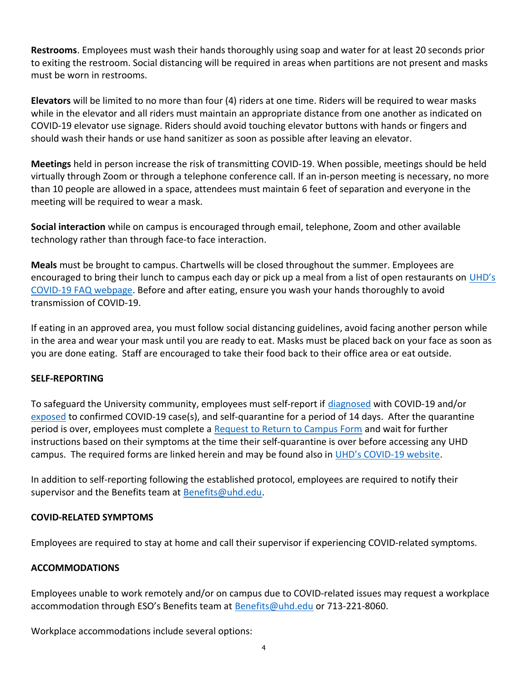**Restrooms**. Employees must wash their hands thoroughly using soap and water for at least 20 seconds prior to exiting the restroom. Social distancing will be required in areas when partitions are not present and masks must be worn in restrooms.

**Elevators** will be limited to no more than four (4) riders at one time. Riders will be required to wear masks while in the elevator and all riders must maintain an appropriate distance from one another as indicated on COVID19 elevator use signage. Riders should avoid touching elevator buttons with hands or fingers and should wash their hands or use hand sanitizer as soon as possible after leaving an elevator.

**Meetings** held in person increase the risk of transmitting COVID-19. When possible, meetings should be held virtually through Zoom or through a telephone conference call. If an in-person meeting is necessary, no more than 10 people are allowed in a space, attendees must maintain 6 feet of separation and everyone in the meeting will be required to wear a mask.

**Social interaction** while on campus is encouraged through email, telephone, Zoom and other available technology rather than through face-to face interaction.

**Meals** must be brought to campus. Chartwells will be closed throughout the summer. Employees are encouraged to bring their lunch to campus each day or pick up a meal from a list of open restaurants on UHD's COVID-19 FAQ webpage. Before and after eating, ensure you wash your hands thoroughly to avoid transmission of COVID-19.

If eating in an approved area, you must follow social distancing guidelines, avoid facing another person while in the area and wear your mask until you are ready to eat. Masks must be placed back on your face as soon as you are done eating. Staff are encouraged to take their food back to their office area or eat outside.

# **SELF-REPORTING**

To safeguard the University community, employees must self-report if diagnosed with COVID-19 and/or exposed to confirmed COVID-19 case(s), and self-quarantine for a period of 14 days. After the quarantine period is over, employees must complete a Request to Return to Campus Form and wait for further instructions based on their symptoms at the time their self-quarantine is over before accessing any UHD campus. The required forms are linked herein and may be found also in UHD's COVID-19 website.

In addition to self-reporting following the established protocol, employees are required to notify their supervisor and the Benefits team at Benefits@uhd.edu.

#### **COVID-RELATED SYMPTOMS**

Employees are required to stay at home and call their supervisor if experiencing COVIDrelated symptoms.

#### **ACCOMMODATIONS**

Employees unable to work remotely and/or on campus due to COVID-related issues may request a workplace accommodation through ESO's Benefits team at Benefits@uhd.edu or 713-221-8060.

Workplace accommodations include several options: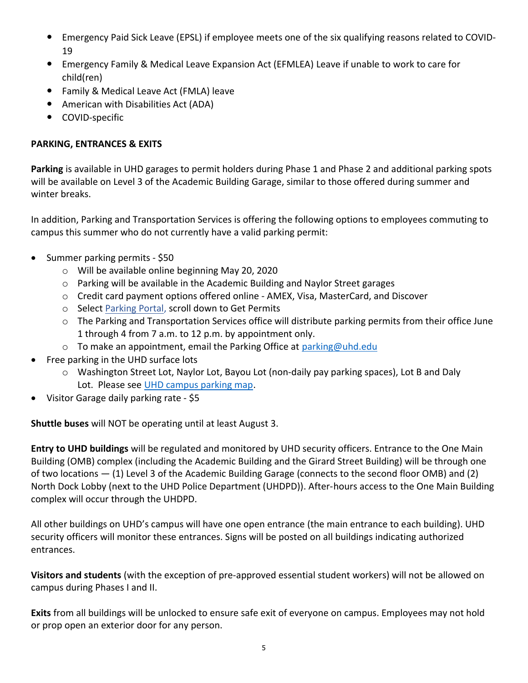- Emergency Paid Sick Leave (EPSL) if employee meets one of the six qualifying reasons related to COVID-19
- Emergency Family & Medical Leave Expansion Act (EFMLEA) Leave if unable to work to care for child(ren)
- Family & Medical Leave Act (FMLA) leave
- American with Disabilities Act (ADA)
- COVID-specific

# **PARKING, ENTRANCES & EXITS**

**Parking** is available in UHD garages to permit holders during Phase 1 and Phase 2 and additional parking spots will be available on Level 3 of the Academic Building Garage, similar to those offered during summer and winter breaks.

In addition, Parking and Transportation Services is offering the following options to employees commuting to campus this summer who do not currently have a valid parking permit:

- $\bullet$  Summer parking permits \$50
	- o Will be available online beginning May 20, 2020
	- o Parking will be available in the Academic Building and Naylor Street garages
	- $\circ$  Credit card payment options offered online AMEX, Visa, MasterCard, and Discover
	- o Select Parking Portal, scroll down to Get Permits
	- o The Parking and Transportation Services office will distribute parking permits from their office June 1 through 4 from 7 a.m. to 12 p.m. by appointment only.
	- $\circ$  To make an appointment, email the Parking Office at parking@uhd.edu
- Free parking in the UHD surface lots
	- o Washington Street Lot, Naylor Lot, Bayou Lot (non-daily pay parking spaces), Lot B and Daly Lot. Please see UHD campus parking map.
- Visitor Garage daily parking rate \$5

**Shuttle buses** will NOT be operating until at least August 3.

**Entry to UHD buildings** will be regulated and monitored by UHD security officers. Entrance to the One Main Building (OMB) complex (including the Academic Building and the Girard Street Building) will be through one of two locations — (1) Level 3 of the Academic Building Garage (connects to the second floor OMB) and (2) North Dock Lobby (next to the UHD Police Department (UHDPD)). After-hours access to the One Main Building complex will occur through the UHDPD.

All other buildings on UHD's campus will have one open entrance (the main entrance to each building). UHD security officers will monitor these entrances. Signs will be posted on all buildings indicating authorized entrances.

**Visitors and students** (with the exception of pre-approved essential student workers) will not be allowed on campus during Phases I and II.

**Exits** from all buildings will be unlocked to ensure safe exit of everyone on campus. Employees may not hold or prop open an exterior door for any person.